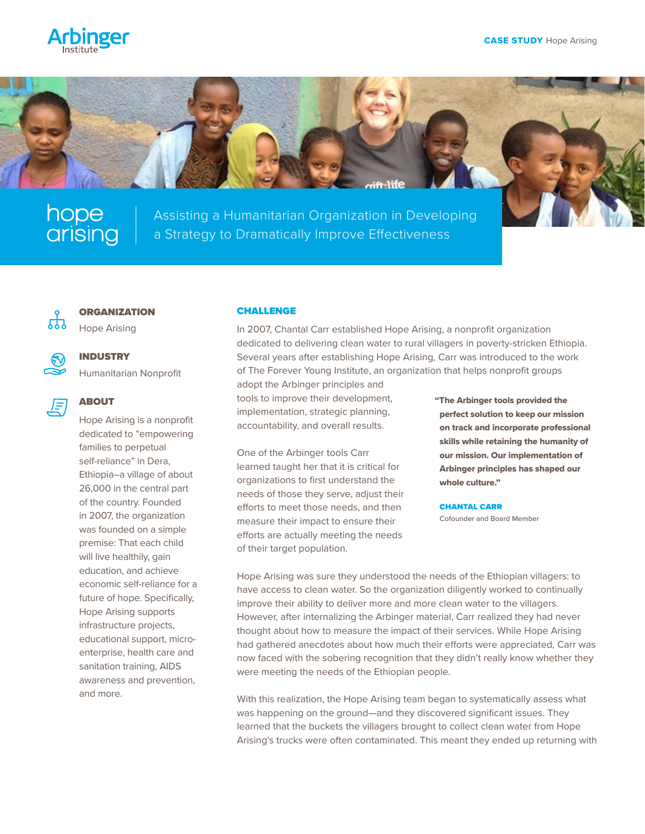



Assisting a Humanitarian Organization in Developing hope | Assisting a Humanitarian Organization in Develo<br>
Grising | a Strategy to Dramatically Improve Effectiveness



# **ORGANIZATION**

Hope Arising



# INDUSTRY

Humanitarian Nonprofit

### ABOUT 月

Hope Arising is a nonprofit dedicated to "empowering families to perpetual self-reliance" in Dera, Ethiopia–a village of about 26,000 in the central part of the country. Founded in 2007, the organization was founded on a simple premise: That each child will live healthily, gain education, and achieve economic self-reliance for a future of hope. Specifically, Hope Arising supports infrastructure projects, educational support, microenterprise, health care and sanitation training, AIDS awareness and prevention, and more.

### CHALLENGE

In 2007, Chantal Carr established Hope Arising, a nonprofit organization dedicated to delivering clean water to rural villagers in poverty-stricken Ethiopia. Several years after establishing Hope Arising, Carr was introduced to the work of The Forever Young Institute, an organization that helps nonprofit groups

adopt the Arbinger principles and tools to improve their development, implementation, strategic planning, accountability, and overall results.

One of the Arbinger tools Carr learned taught her that it is critical for organizations to first understand the needs of those they serve, adjust their efforts to meet those needs, and then measure their impact to ensure their efforts are actually meeting the needs of their target population.

"The Arbinger tools provided the perfect solution to keep our mission on track and incorporate professional skills while retaining the humanity of our mission. Our implementation of Arbinger principles has shaped our whole culture."

CHANTAL CARR Cofounder and Board Member

Hope Arising was sure they understood the needs of the Ethiopian villagers: to have access to clean water. So the organization diligently worked to continually improve their ability to deliver more and more clean water to the villagers. However, after internalizing the Arbinger material, Carr realized they had never thought about how to measure the impact of their services. While Hope Arising had gathered anecdotes about how much their efforts were appreciated, Carr was now faced with the sobering recognition that they didn't really know whether they were meeting the needs of the Ethiopian people.

With this realization, the Hope Arising team began to systematically assess what was happening on the ground—and they discovered significant issues. They learned that the buckets the villagers brought to collect clean water from Hope Arising's trucks were often contaminated. This meant they ended up returning with